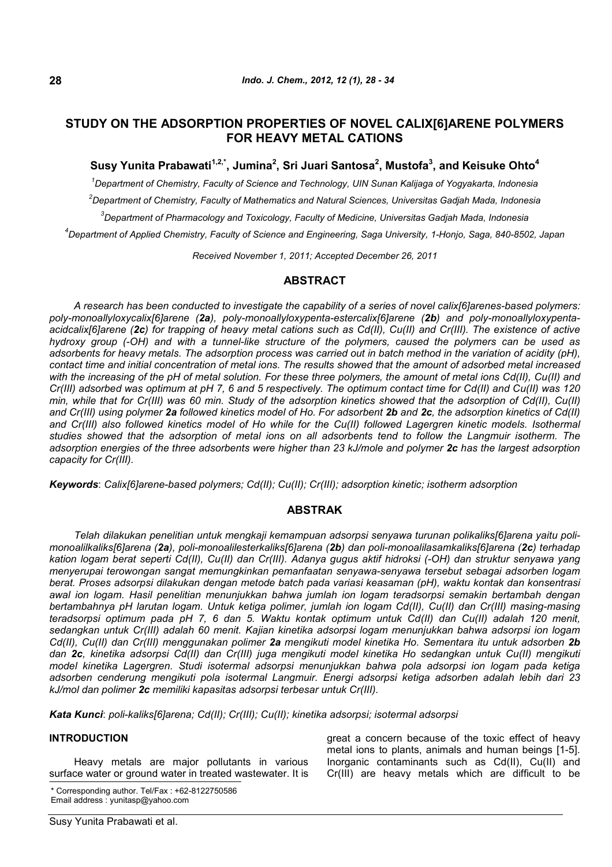# **STUDY ON THE ADSORPTION PROPERTIES OF NOVEL CALIX[6]ARENE POLYMERS FOR HEAVY METAL CATIONS**

## **Susy Yunita Prabawati1,2,\*, Jumina<sup>2</sup> , Sri Juari Santosa<sup>2</sup> , Mustofa<sup>3</sup> , and Keisuke Ohto<sup>4</sup>**

*Department of Chemistry, Faculty of Science and Technology, UIN Sunan Kalijaga of Yogyakarta, Indonesia Department of Chemistry, Faculty of Mathematics and Natural Sciences, Universitas Gadjah Mada, Indonesia Department of Pharmacology and Toxicology, Faculty of Medicine, Universitas Gadjah Mada, Indonesia Department of Applied Chemistry, Faculty of Science and Engineering, Saga University, 1-Honjo, Saga, 840-8502, Japan*

*Received November 1, 2011; Accepted December 26, 2011*

## **ABSTRACT**

*A research has been conducted to investigate the capability of a series of novel calix[6]arenes-based polymers: poly-monoallyloxycalix[6]arene (2a), poly-monoallyloxypenta-estercalix[6]arene (2b) and poly-monoallyloxypentaacidcalix[6]arene (2c) for trapping of heavy metal cations such as Cd(II), Cu(II) and Cr(III). The existence of active hydroxy group (-OH) and with a tunnel-like structure of the polymers, caused the polymers can be used as adsorbents for heavy metals. The adsorption process was carried out in batch method in the variation of acidity (pH), contact time and initial concentration of metal ions. The results showed that the amount of adsorbed metal increased with the increasing of the pH of metal solution. For these three polymers, the amount of metal ions Cd(II), Cu(II) and Cr(III) adsorbed was optimum at pH 7, 6 and 5 respectively. The optimum contact time for Cd(II) and Cu(II) was 120 min, while that for Cr(III) was 60 min. Study of the adsorption kinetics showed that the adsorption of Cd(II), Cu(II) and Cr(III) using polymer 2a followed kinetics model of Ho. For adsorbent 2b and 2c, the adsorption kinetics of Cd(II) and Cr(III) also followed kinetics model of Ho while for the Cu(II) followed Lagergren kinetic models. Isothermal studies showed that the adsorption of metal ions on all adsorbents tend to follow the Langmuir isotherm. The adsorption energies of the three adsorbents were higher than 23 kJ/mole and polymer 2c has the largest adsorption capacity for Cr(III).*

*Keywords*: *Calix[6]arene-based polymers; Cd(II); Cu(II); Cr(III); adsorption kinetic; isotherm adsorption*

## **ABSTRAK**

*Telah dilakukan penelitian untuk mengkaji kemampuan adsorpsi senyawa turunan polikaliks[6]arena yaitu polimonoalilkaliks[6]arena (2a), poli-monoalilesterkaliks[6]arena (2b) dan poli-monoalilasamkaliks[6]arena (2c) terhadap kation logam berat seperti Cd(II), Cu(II) dan Cr(III). Adanya gugus aktif hidroksi (-OH) dan struktur senyawa yang menyerupai terowongan sangat memungkinkan pemanfaatan senyawa-senyawa tersebut sebagai adsorben logam berat. Proses adsorpsi dilakukan dengan metode batch pada variasi keasaman (pH), waktu kontak dan konsentrasi awal ion logam. Hasil penelitian menunjukkan bahwa jumlah ion logam teradsorpsi semakin bertambah dengan bertambahnya pH larutan logam. Untuk ketiga polimer, jumlah ion logam Cd(II), Cu(II) dan Cr(III) masing-masing teradsorpsi optimum pada pH 7, 6 dan 5. Waktu kontak optimum untuk Cd(II) dan Cu(II) adalah 120 menit, sedangkan untuk Cr(III) adalah 60 menit. Kajian kinetika adsorpsi logam menunjukkan bahwa adsorpsi ion logam Cd(II), Cu(II) dan Cr(III) menggunakan polimer 2a mengikuti model kinetika Ho. Sementara itu untuk adsorben 2b dan 2c, kinetika adsorpsi Cd(II) dan Cr(III) juga mengikuti model kinetika Ho sedangkan untuk Cu(II) mengikuti model kinetika Lagergren. Studi isotermal adsorpsi menunjukkan bahwa pola adsorpsi ion logam pada ketiga adsorben cenderung mengikuti pola isotermal Langmuir. Energi adsorpsi ketiga adsorben adalah lebih dari 23 kJ/mol dan polimer 2c memiliki kapasitas adsorpsi terbesar untuk Cr(III).*

*Kata Kunci*: *poli-kaliks[6]arena; Cd(II); Cr(III); Cu(II); kinetika adsorpsi; isotermal adsorpsi*

### **INTRODUCTION**

Heavy metals are major pollutants in various surface water or ground water in treated wastewater. It is

\* Corresponding author. Tel/Fax : +62-8122750586 Email address : yunitasp@yahoo.com

great a concern because of the toxic effect of heavy metal ions to plants, animals and human beings [1-5]. Inorganic contaminants such as Cd(II), Cu(II) and Cr(III) are heavy metals which are difficult to be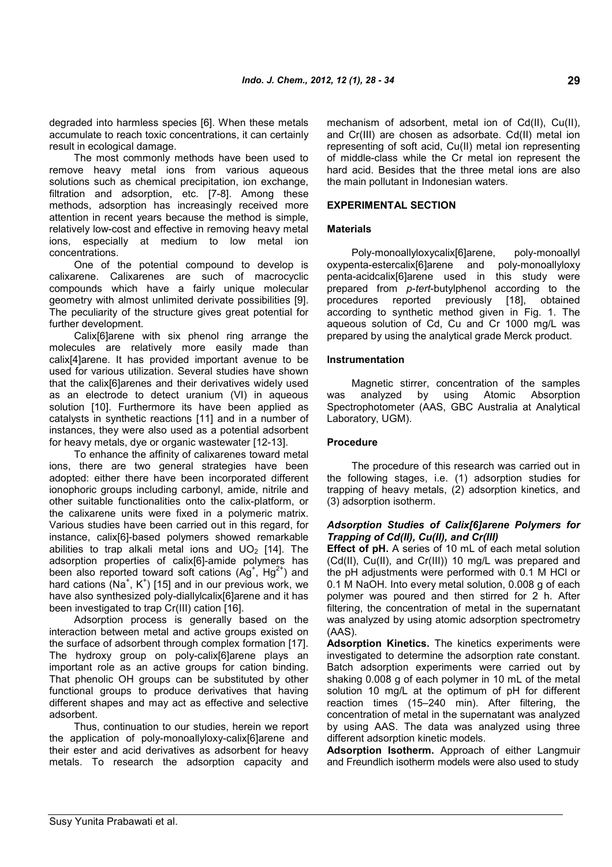degraded into harmless species [6]. When these metals accumulate to reach toxic concentrations, it can certainly result in ecological damage.

The most commonly methods have been used to remove heavy metal ions from various aqueous solutions such as chemical precipitation, ion exchange, filtration and adsorption, etc. [7-8]. Among these methods, adsorption has increasingly received more attention in recent years because the method is simple, relatively low-cost and effective in removing heavy metal ions, especially at medium to low metal ion concentrations.

One of the potential compound to develop is calixarene. Calixarenes are such of macrocyclic compounds which have a fairly unique molecular geometry with almost unlimited derivate possibilities [9]. The peculiarity of the structure gives great potential for further development.

Calix[6]arene with six phenol ring arrange the molecules are relatively more easily made than calix[4]arene. It has provided important avenue to be used for various utilization. Several studies have shown that the calix[6]arenes and their derivatives widely used as an electrode to detect uranium (VI) in aqueous solution [10]. Furthermore its have been applied as catalysts in synthetic reactions [11] and in a number of instances, they were also used as a potential adsorbent for heavy metals, dye or organic wastewater [12-13].

To enhance the affinity of calixarenes toward metal ions, there are two general strategies have been adopted: either there have been incorporated different ionophoric groups including carbonyl, amide, nitrile and other suitable functionalities onto the calix-platform, or the calixarene units were fixed in a polymeric matrix. Various studies have been carried out in this regard, for instance, calix[6]-based polymers showed remarkable abilities to trap alkali metal ions and  $UO<sub>2</sub>$  [14]. The adsorption properties of calix[6]-amide polymers has been also reported toward soft cations  $(Ag^+, Hg^{2+})$  and hard cations (Na<sup>+</sup>, K<sup>+</sup>) [15] and in our previous work, we have also synthesized poly-diallylcalix[6]arene and it has been investigated to trap Cr(III) cation [16].

Adsorption process is generally based on the interaction between metal and active groups existed on the surface of adsorbent through complex formation [17]. The hydroxy group on poly-calix[6]arene plays an important role as an active groups for cation binding. That phenolic OH groups can be substituted by other functional groups to produce derivatives that having different shapes and may act as effective and selective adsorbent.

Thus, continuation to our studies, herein we report the application of poly-monoallyloxy-calix[6]arene and their ester and acid derivatives as adsorbent for heavy metals. To research the adsorption capacity and mechanism of adsorbent, metal ion of Cd(II), Cu(II), and Cr(III) are chosen as adsorbate. Cd(II) metal ion representing of soft acid, Cu(II) metal ion representing of middle-class while the Cr metal ion represent the hard acid. Besides that the three metal ions are also the main pollutant in Indonesian waters.

#### **EXPERIMENTAL SECTION**

#### **Materials**

Poly-monoallyloxycalix[6]arene, poly-monoallyl oxypenta-estercalix[6]arene and poly-monoallyloxy penta-acidcalix[6]arene used in this study were prepared from *p*-*tert*-butylphenol according to the procedures reported previously [18], obtained according to synthetic method given in Fig. 1. The aqueous solution of Cd, Cu and Cr 1000 mg/L was prepared by using the analytical grade Merck product.

#### **Instrumentation**

Magnetic stirrer, concentration of the samples was analyzed by using Atomic Absorption Spectrophotometer (AAS, GBC Australia at Analytical Laboratory, UGM).

#### **Procedure**

The procedure of this research was carried out in the following stages, i.e. (1) adsorption studies for trapping of heavy metals, (2) adsorption kinetics, and (3) adsorption isotherm.

#### *Adsorption Studies of Calix[6]arene Polymers for Trapping of Cd(II), Cu(II), and Cr(III)*

**Effect of pH.** A series of 10 mL of each metal solution (Cd(II), Cu(II), and Cr(III)) 10 mg/L was prepared and the pH adjustments were performed with 0.1 M HCl or 0.1 M NaOH. Into every metal solution, 0.008 g of each polymer was poured and then stirred for 2 h. After filtering, the concentration of metal in the supernatant was analyzed by using atomic adsorption spectrometry (AAS).

**Adsorption Kinetics.** The kinetics experiments were investigated to determine the adsorption rate constant. Batch adsorption experiments were carried out by shaking 0.008 g of each polymer in 10 mL of the metal solution 10 mg/L at the optimum of pH for different reaction times (15–240 min). After filtering, the concentration of metal in the supernatant was analyzed by using AAS. The data was analyzed using three different adsorption kinetic models.

**Adsorption Isotherm.** Approach of either Langmuir and Freundlich isotherm models were also used to study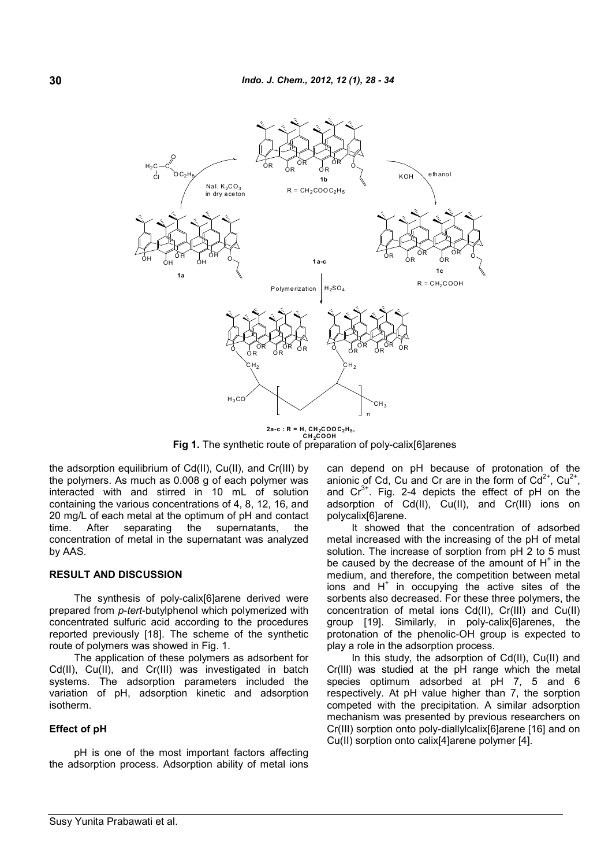

**2a-c : R = H, CH2COO C2H<sup>5</sup> , CH <sup>2</sup>COOH Fig 1.** The synthetic route of preparation of poly-calix[6]arenes

the adsorption equilibrium of Cd(II), Cu(II), and Cr(III) by the polymers. As much as 0.008 g of each polymer was interacted with and stirred in 10 mL of solution containing the various concentrations of 4, 8, 12, 16, and 20 mg/L of each metal at the optimum of pH and contact time. After separating the supernatants, the concentration of metal in the supernatant was analyzed by AAS.

#### **RESULT AND DISCUSSION**

The synthesis of poly-calix[6]arene derived were prepared from *p*-*tert*-butylphenol which polymerized with concentrated sulfuric acid according to the procedures reported previously [18]. The scheme of the synthetic route of polymers was showed in Fig. 1.

The application of these polymers as adsorbent for Cd(II), Cu(II), and Cr(III) was investigated in batch systems. The adsorption parameters included the variation of pH, adsorption kinetic and adsorption isotherm.

#### **Effect of pH**

pH is one of the most important factors affecting the adsorption process. Adsorption ability of metal ions can depend on pH because of protonation of the anionic of Cd, Cu and Cr are in the form of  $Cd^{2+}$ ,  $Cu^{2+}$ , and  $Cr^{3+}$ . Fig. 2-4 depicts the effect of pH on the adsorption of Cd(II), Cu(II), and Cr(III) ions on polycalix[6]arene.

It showed that the concentration of adsorbed metal increased with the increasing of the pH of metal solution. The increase of sorption from pH 2 to 5 must be caused by the decrease of the amount of  $H^+$  in the medium, and therefore, the competition between metal ions and  $H^+$  in occupying the active sites of the sorbents also decreased. For these three polymers, the concentration of metal ions Cd(II), Cr(III) and Cu(II) group [19]. Similarly, in poly-calix[6]arenes, the protonation of the phenolic-OH group is expected to play a role in the adsorption process.

In this study, the adsorption of Cd(II), Cu(II) and Cr(III) was studied at the pH range which the metal species optimum adsorbed at pH 7, 5 and 6 respectively. At pH value higher than 7, the sorption competed with the precipitation. A similar adsorption mechanism was presented by previous researchers on Cr(III) sorption onto poly-diallylcalix[6]arene [16] and on Cu(II) sorption onto calix[4]arene polymer [4].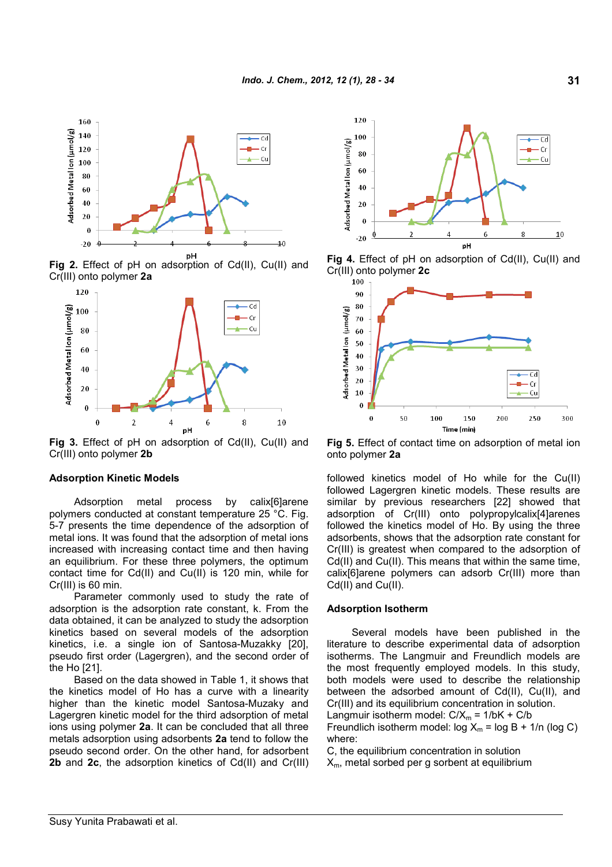

**Fig 2.** Effect of pH on adsorption of Cd(II), Cu(II) and Cr(III) onto polymer **2a**



**Fig 3.** Effect of pH on adsorption of Cd(II), Cu(II) and Cr(III) onto polymer **2b**

#### **Adsorption Kinetic Models**

Adsorption metal process by calix[6]arene polymers conducted at constant temperature 25 °C. Fig. 5-7 presents the time dependence of the adsorption of metal ions. It was found that the adsorption of metal ions increased with increasing contact time and then having an equilibrium. For these three polymers, the optimum contact time for Cd(II) and Cu(II) is 120 min, while for Cr(III) is 60 min.

Parameter commonly used to study the rate of adsorption is the adsorption rate constant, k. From the data obtained, it can be analyzed to study the adsorption kinetics based on several models of the adsorption kinetics, i.e. a single ion of Santosa-Muzakky [20], pseudo first order (Lagergren), and the second order of the Ho [21].

Based on the data showed in Table 1, it shows that the kinetics model of Ho has a curve with a linearity higher than the kinetic model Santosa-Muzaky and Lagergren kinetic model for the third adsorption of metal ions using polymer **2a**. It can be concluded that all three metals adsorption using adsorbents **2a** tend to follow the pseudo second order. On the other hand, for adsorbent **2b** and **2c**, the adsorption kinetics of Cd(II) and Cr(III)







**Fig 5.** Effect of contact time on adsorption of metal ion onto polymer **2a**

followed kinetics model of Ho while for the Cu(II) followed Lagergren kinetic models. These results are similar by previous researchers [22] showed that adsorption of Cr(III) onto polypropylcalix[4]arenes followed the kinetics model of Ho. By using the three adsorbents, shows that the adsorption rate constant for Cr(III) is greatest when compared to the adsorption of Cd(II) and Cu(II). This means that within the same time, calix[6]arene polymers can adsorb Cr(III) more than Cd(II) and Cu(II).

#### **Adsorption Isotherm**

Several models have been published in the literature to describe experimental data of adsorption isotherms. The Langmuir and Freundlich models are the most frequently employed models. In this study, both models were used to describe the relationship between the adsorbed amount of Cd(II), Cu(II), and Cr(III) and its equilibrium concentration in solution.

Langmuir isotherm model:  $C/X_m = 1/bK + C/b$ Freundlich isotherm model:  $log X_m = log B + 1/n$  (log C) where:

C, the equilibrium concentration in solution

 $X<sub>m</sub>$ , metal sorbed per g sorbent at equilibrium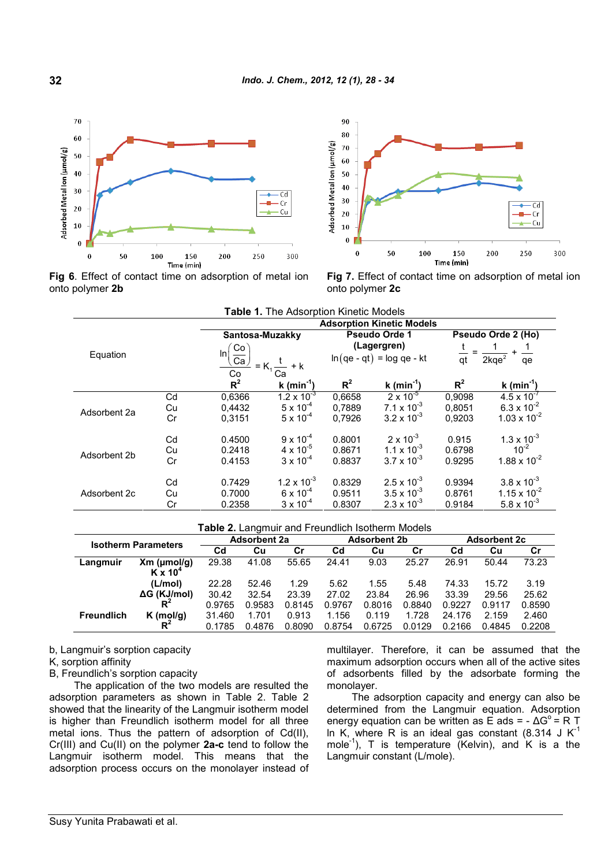



**Fig 6**. Effect of contact time on adsorption of metal ion onto polymer **2b**

**Fig 7.** Effect of contact time on adsorption of metal ion onto polymer **2c**

| <b>Table 1. The Adsorption Kinetic Models</b> |                                  |                                                                           |                        |                             |                        |                                   |                                   |
|-----------------------------------------------|----------------------------------|---------------------------------------------------------------------------|------------------------|-----------------------------|------------------------|-----------------------------------|-----------------------------------|
|                                               | <b>Adsorption Kinetic Models</b> |                                                                           |                        |                             |                        |                                   |                                   |
|                                               |                                  | Santosa-Muzakky                                                           |                        | <b>Pseudo Orde 1</b>        |                        | Pseudo Orde 2 (Ho)                |                                   |
|                                               |                                  | Co<br>$\ln$<br>Ca <sub>2</sub><br>$-$ = K <sub>1</sub> $\frac{t}{Ca}$ + k |                        | (Lagergren)                 |                        |                                   |                                   |
| Equation                                      |                                  |                                                                           |                        | $ln(qe - qt) = log qe - kt$ |                        | $\overline{qt}$<br>$2kqe^2$<br>qe |                                   |
|                                               |                                  | Co                                                                        |                        |                             |                        |                                   |                                   |
|                                               |                                  | $R^2$                                                                     | k (min <sup>-1</sup> ) | $R^2$                       | k (min <sup>-1</sup> ) | $R^2$                             | k (min $^{-1}$ )                  |
|                                               | Cd                               | 0,6366                                                                    | $1.2 \times 10^{-3}$   | 0,6658                      | $2 \times 10^{-5}$     | 0,9098                            | $4.5 \times 10^{-7}$              |
| Adsorbent 2a                                  | Cu                               | 0,4432                                                                    | $5 \times 10^{-4}$     | 0,7889                      | $7.1 \times 10^{-3}$   | 0,8051                            | $6.3 \times 10^{-2}$              |
|                                               | Cr                               | 0.3151                                                                    | $5 \times 10^{-4}$     | 0.7926                      | $3.2 \times 10^{-3}$   | 0.9203                            | $1.03 \times 10^{-2}$             |
|                                               | Cd                               | 0.4500                                                                    | $9 \times 10^{-4}$     | 0.8001                      | $2 \times 10^{-3}$     | 0.915                             | $1.3 \times 10^{-3}$<br>$10^{-2}$ |
| Adsorbent 2b                                  | Cu                               | 0.2418                                                                    | $4 \times 10^{-5}$     | 0.8671                      | $1.1 \times 10^{-3}$   | 0.6798                            |                                   |
|                                               | Cr                               | 0.4153                                                                    | $3 \times 10^{-4}$     | 0.8837                      | $3.7 \times 10^{-3}$   | 0.9295                            | $1.88 \times 10^{-2}$             |
|                                               | Cd                               | 0.7429                                                                    | $1.2 \times 10^{-3}$   | 0.8329                      | $2.5 \times 10^{-3}$   | 0.9394                            | $3.8 \times 10^{-3}$              |
| Adsorbent 2c                                  | Cu                               | 0.7000                                                                    | $6 \times 10^{-4}$     | 0.9511                      | $3.5 \times 10^{-3}$   | 0.8761                            | $1.15 \times 10^{-2}$             |
|                                               | Cr                               | 0.2358                                                                    | $3 \times 10^{-4}$     | 0.8307                      | $2.3 \times 10^{-3}$   | 0.9184                            | $5.8 \times 10^{-3}$              |

#### **Table 2.** Langmuir and Freundlich Isotherm Models

| <b>Isotherm Parameters</b> |                     | <b>Adsorbent 2a</b> |        | <b>Adsorbent 2b</b> |        |        | <b>Adsorbent 2c</b> |        |        |        |
|----------------------------|---------------------|---------------------|--------|---------------------|--------|--------|---------------------|--------|--------|--------|
|                            |                     | Cd                  | Cu     | Cr                  | Cd     | Cu     | Cr                  | Cd     | Cu     | Cr     |
| Langmuir                   | $Xm$ (umol/g)       | 29.38               | 41.08  | 55.65               | 24.41  | 9.03   | 25.27               | 26.91  | 50.44  | 73.23  |
|                            | $K \times 10^4$     |                     |        |                     |        |        |                     |        |        |        |
|                            | (L/mol)             | 22.28               | 52.46  | 1.29                | 5.62   | 1.55   | 5.48                | 74.33  | 15.72  | 3.19   |
|                            | $\Delta G$ (KJ/mol) | 30.42               | 32.54  | 23.39               | 27.02  | 23.84  | 26.96               | 33.39  | 29.56  | 25.62  |
|                            | Rʻ                  | 0.9765              | 0.9583 | 0.8145              | 0.9767 | 0.8016 | 0.8840              | 0.9227 | 0.9117 | 0.8590 |
| <b>Freundlich</b>          | $K$ (mol/g)         | 31.460              | 1.701  | 0.913               | 1.156  | 0.119  | 1.728               | 24.176 | 2.159  | 2.460  |
|                            | $R^2$               | 0.1785              | 0.4876 | 0.8090              | 0.8754 | 0.6725 | 0.0129              | 0.2166 | 0.4845 | 0.2208 |

b, Langmuir's sorption capacity

## K, sorption affinity

B, Freundlich's sorption capacity

The application of the two models are resulted the adsorption parameters as shown in Table 2. Table 2 showed that the linearity of the Langmuir isotherm model is higher than Freundlich isotherm model for all three metal ions. Thus the pattern of adsorption of Cd(II), Cr(III) and Cu(II) on the polymer **2a-c** tend to follow the Langmuir isotherm model. This means that the adsorption process occurs on the monolayer instead of multilayer. Therefore, it can be assumed that the maximum adsorption occurs when all of the active sites of adsorbents filled by the adsorbate forming the monolayer.

The adsorption capacity and energy can also be determined from the Langmuir equation. Adsorption energy equation can be written as E ads = - ΔG<sup>o</sup> = R T In K, where R is an ideal gas constant  $(8.314 \text{ J K}^{-1})$ mole<sup>-1</sup>), T is temperature (Kelvin), and K is a the Langmuir constant (L/mole).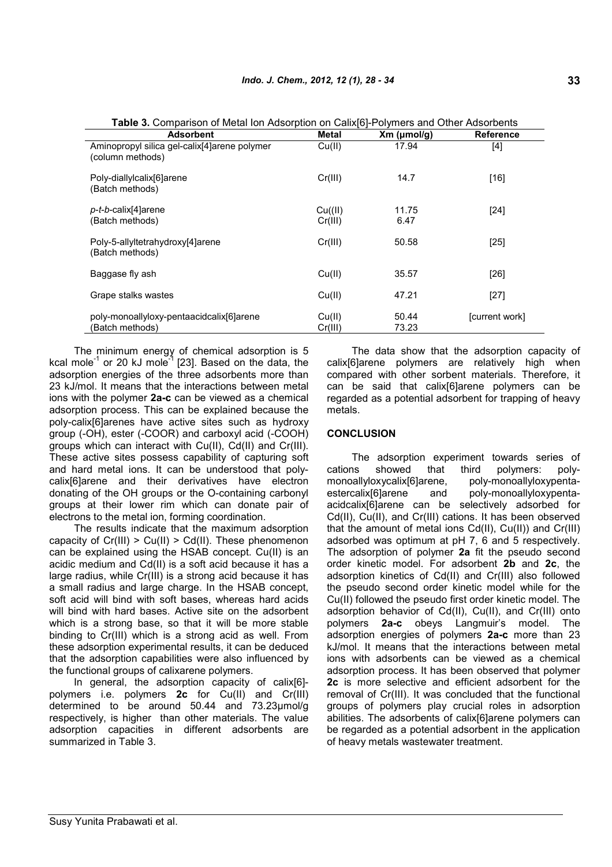| <b>Adsorbent</b>                                                 | <b>Metal</b>       | $Xm$ (µmol/g)  | <b>Reference</b> |
|------------------------------------------------------------------|--------------------|----------------|------------------|
| Aminopropyl silica gel-calix[4]arene polymer<br>(column methods) | Cu(II)             | 17.94          | [4]              |
| Poly-diallylcalix[6]arene<br>(Batch methods)                     | Cr(III)            | 14.7           | $[16]$           |
| p-t-b-calix[4]arene<br>(Batch methods)                           | Cu(III)<br>Cr(III) | 11.75<br>6.47  | $[24]$           |
| Poly-5-allyltetrahydroxy[4]arene<br>(Batch methods)              | Cr(III)            | 50.58          | $[25]$           |
| Baggase fly ash                                                  | Cu(II)             | 35.57          | $[26]$           |
| Grape stalks wastes                                              | Cu(II)             | 47.21          | $[27]$           |
| poly-monoallyloxy-pentaacidcalix[6]arene<br>(Batch methods)      | Cu(II)<br>Cr(III)  | 50.44<br>73.23 | [current work]   |

**Table 3.** Comparison of Metal Ion Adsorption on Calix[6]-Polymers and Other Adsorbents

The minimum energy of chemical adsorption is 5 kcal mole<sup>-1</sup> or 20 kJ mole<sup>-1</sup> [23]. Based on the data, the adsorption energies of the three adsorbents more than 23 kJ/mol. It means that the interactions between metal ions with the polymer **2a-c** can be viewed as a chemical adsorption process. This can be explained because the poly-calix[6]arenes have active sites such as hydroxy group (-OH), ester (-COOR) and carboxyl acid (-COOH) groups which can interact with Cu(II), Cd(II) and Cr(III). These active sites possess capability of capturing soft and hard metal ions. It can be understood that polycalix[6]arene and their derivatives have electron donating of the OH groups or the O-containing carbonyl groups at their lower rim which can donate pair of electrons to the metal ion, forming coordination.

The results indicate that the maximum adsorption capacity of  $Cr(III) > Cu(II) > Cd(II)$ . These phenomenon can be explained using the HSAB concept. Cu(II) is an acidic medium and Cd(II) is a soft acid because it has a large radius, while Cr(III) is a strong acid because it has a small radius and large charge. In the HSAB concept, soft acid will bind with soft bases, whereas hard acids will bind with hard bases. Active site on the adsorbent which is a strong base, so that it will be more stable binding to Cr(III) which is a strong acid as well. From these adsorption experimental results, it can be deduced that the adsorption capabilities were also influenced by the functional groups of calixarene polymers.

In general, the adsorption capacity of calix[6] polymers i.e. polymers **2c** for Cu(II) and Cr(III) determined to be around 50.44 and 73.23μmol/g respectively, is higher than other materials. The value adsorption capacities in different adsorbents are summarized in Table 3.

The data show that the adsorption capacity of calix[6]arene polymers are relatively high when compared with other sorbent materials. Therefore, it can be said that calix[6]arene polymers can be regarded as a potential adsorbent for trapping of heavy metals.

#### **CONCLUSION**

The adsorption experiment towards series of cations showed that third polymers: polymonoallyloxycalix[6]arene, poly-monoallyloxypentaestercalix[6]arene and poly-monoallyloxypentaacidcalix[6]arene can be selectively adsorbed for Cd(II), Cu(II), and Cr(III) cations. It has been observed that the amount of metal ions Cd(II), Cu(II)) and Cr(III) adsorbed was optimum at pH 7, 6 and 5 respectively. The adsorption of polymer **2a** fit the pseudo second order kinetic model. For adsorbent **2b** and **2c**, the adsorption kinetics of Cd(II) and Cr(III) also followed the pseudo second order kinetic model while for the Cu(II) followed the pseudo first order kinetic model. The adsorption behavior of Cd(II), Cu(II), and Cr(III) onto polymers **2a-c** obeys Langmuir's model. The adsorption energies of polymers **2a-c** more than 23 kJ/mol. It means that the interactions between metal ions with adsorbents can be viewed as a chemical adsorption process. It has been observed that polymer **2c** is more selective and efficient adsorbent for the removal of Cr(III). It was concluded that the functional groups of polymers play crucial roles in adsorption abilities. The adsorbents of calix[6]arene polymers can be regarded as a potential adsorbent in the application of heavy metals wastewater treatment.